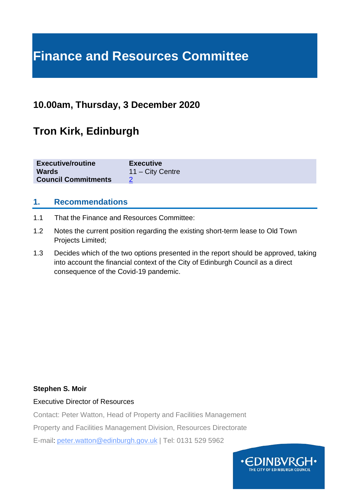# **Finance and Resources Committee**

### **10.00am, Thursday, 3 December 2020**

# **Tron Kirk, Edinburgh**

| <b>Executive/routine</b>   | <b>Executive</b>   |
|----------------------------|--------------------|
| <b>Wards</b>               | $11 - City$ Centre |
| <b>Council Commitments</b> |                    |
|                            |                    |

#### **1. Recommendations**

- 1.1 That the Finance and Resources Committee:
- 1.2 Notes the current position regarding the existing short-term lease to Old Town Projects Limited;
- 1.3 Decides which of the two options presented in the report should be approved, taking into account the financial context of the City of Edinburgh Council as a direct consequence of the Covid-19 pandemic.

#### **Stephen S. Moir**

#### Executive Director of Resources

Contact: Peter Watton, Head of Property and Facilities Management

Property and Facilities Management Division, Resources Directorate

E-mail: peter.watton@edinburgh.gov.uk | Tel: 0131 529 5962

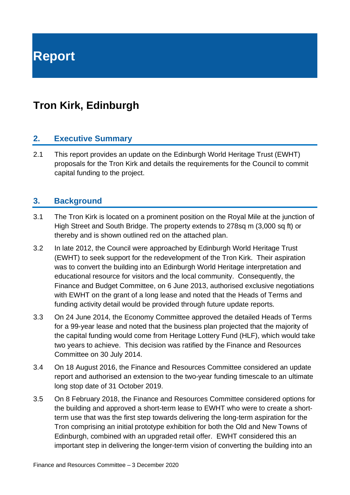**Report**

# **Tron Kirk, Edinburgh**

#### **2. Executive Summary**

2.1 This report provides an update on the Edinburgh World Heritage Trust (EWHT) proposals for the Tron Kirk and details the requirements for the Council to commit capital funding to the project.

#### **3. Background**

- 3.1 The Tron Kirk is located on a prominent position on the Royal Mile at the junction of High Street and South Bridge. The property extends to 278sq m (3,000 sq ft) or thereby and is shown outlined red on the attached plan.
- 3.2 In late 2012, the Council were approached by Edinburgh World Heritage Trust (EWHT) to seek support for the redevelopment of the Tron Kirk. Their aspiration was to convert the building into an Edinburgh World Heritage interpretation and educational resource for visitors and the local community. Consequently, the Finance and Budget Committee, on 6 June 2013, authorised exclusive negotiations with EWHT on the grant of a long lease and noted that the Heads of Terms and funding activity detail would be provided through future update reports.
- 3.3 On 24 June 2014, the Economy Committee approved the detailed Heads of Terms for a 99-year lease and noted that the business plan projected that the majority of the capital funding would come from Heritage Lottery Fund (HLF), which would take two years to achieve. This decision was ratified by the Finance and Resources Committee on 30 July 2014.
- 3.4 On 18 August 2016, the Finance and Resources Committee considered an update report and authorised an extension to the two-year funding timescale to an ultimate long stop date of 31 October 2019.
- 3.5 On 8 February 2018, the Finance and Resources Committee considered options for the building and approved a short-term lease to EWHT who were to create a shortterm use that was the first step towards delivering the long-term aspiration for the Tron comprising an initial prototype exhibition for both the Old and New Towns of Edinburgh, combined with an upgraded retail offer. EWHT considered this an important step in delivering the longer-term vision of converting the building into an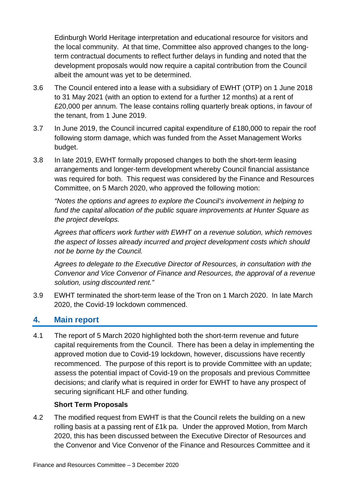Edinburgh World Heritage interpretation and educational resource for visitors and the local community. At that time, Committee also approved changes to the longterm contractual documents to reflect further delays in funding and noted that the development proposals would now require a capital contribution from the Council albeit the amount was yet to be determined.

- 3.6 The Council entered into a lease with a subsidiary of EWHT (OTP) on 1 June 2018 to 31 May 2021 (with an option to extend for a further 12 months) at a rent of £20,000 per annum. The lease contains rolling quarterly break options, in favour of the tenant, from 1 June 2019.
- 3.7 In June 2019, the Council incurred capital expenditure of £180,000 to repair the roof following storm damage, which was funded from the Asset Management Works budget.
- 3.8 In late 2019, EWHT formally proposed changes to both the short-term leasing arrangements and longer-term development whereby Council financial assistance was required for both. This request was considered by the Finance and Resources Committee, on 5 March 2020, who approved the following motion:

*"Notes the options and agrees to explore the Council's involvement in helping to fund the capital allocation of the public square improvements at Hunter Square as the project develops.*

*Agrees that officers work further with EWHT on a revenue solution, which removes the aspect of losses already incurred and project development costs which should not be borne by the Council.*

*Agrees to delegate to the Executive Director of Resources, in consultation with the Convenor and Vice Convenor of Finance and Resources, the approval of a revenue solution, using discounted rent."*

3.9 EWHT terminated the short-term lease of the Tron on 1 March 2020. In late March 2020, the Covid-19 lockdown commenced.

### **4. Main report**

4.1 The report of 5 March 2020 highlighted both the short-term revenue and future capital requirements from the Council. There has been a delay in implementing the approved motion due to Covid-19 lockdown, however, discussions have recently recommenced. The purpose of this report is to provide Committee with an update; assess the potential impact of Covid-19 on the proposals and previous Committee decisions; and clarify what is required in order for EWHT to have any prospect of securing significant HLF and other funding.

#### **Short Term Proposals**

4.2 The modified request from EWHT is that the Council relets the building on a new rolling basis at a passing rent of £1k pa. Under the approved Motion, from March 2020, this has been discussed between the Executive Director of Resources and the Convenor and Vice Convenor of the Finance and Resources Committee and it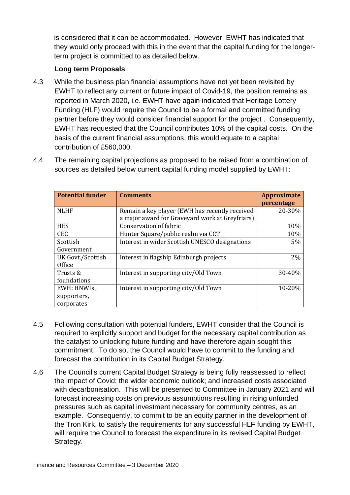is considered that it can be accommodated. However, EWHT has indicated that they would only proceed with this in the event that the capital funding for the longerterm project is committed to as detailed below.

#### **Long term Proposals**

4.3 While the business plan financial assumptions have not yet been revisited by EWHT to reflect any current or future impact of Covid-19, the position remains as reported in March 2020, i.e. EWHT have again indicated that Heritage Lottery Funding (HLF) would require the Council to be a formal and committed funding partner before they would consider financial support for the project . Consequently, EWHT has requested that the Council contributes 10% of the capital costs. On the basis of the current financial assumptions, this would equate to a capital contribution of £560,000.

| 4.4 | The remaining capital projections as proposed to be raised from a combination of |
|-----|----------------------------------------------------------------------------------|
|     | sources as detailed below current capital funding model supplied by EWHT:        |

| <b>Potential funder</b> | <b>Comments</b>                                 | <b>Approximate</b><br>percentage |
|-------------------------|-------------------------------------------------|----------------------------------|
| <b>NLHF</b>             | Remain a key player (EWH has recently received  | 20-30%                           |
|                         | a major award for Graveyard work at Greyfriars) |                                  |
| <b>HES</b>              | Conservation of fabric                          | 10%                              |
| <b>CEC</b>              | Hunter Square/public realm via CCT              | 10%                              |
| Scottish                | Interest in wider Scottish UNESCO designations  | $5\%$                            |
| Government              |                                                 |                                  |
| UK Govt./Scottish       | Interest in flagship Edinburgh projects         | 2%                               |
| Office                  |                                                 |                                  |
| Trusts &                | Interest in supporting city/Old Town            | 30-40%                           |
| foundations             |                                                 |                                  |
| EWH: HNWIs,             | Interest in supporting city/Old Town            | 10-20%                           |
| supporters,             |                                                 |                                  |
| corporates              |                                                 |                                  |

- 4.5 Following consultation with potential funders, EWHT consider that the Council is required to explicitly support and budget for the necessary capital contribution as the catalyst to unlocking future funding and have therefore again sought this commitment. To do so, the Council would have to commit to the funding and forecast the contribution in its Capital Budget Strategy.
- 4.6 The Council's current Capital Budget Strategy is being fully reassessed to reflect the impact of Covid; the wider economic outlook; and increased costs associated with decarbonisation. This will be presented to Committee in January 2021 and will forecast increasing costs on previous assumptions resulting in rising unfunded pressures such as capital investment necessary for community centres, as an example. Consequently, to commit to be an equity partner in the development of the Tron Kirk, to satisfy the requirements for any successful HLF funding by EWHT, will require the Council to forecast the expenditure in its revised Capital Budget Strategy.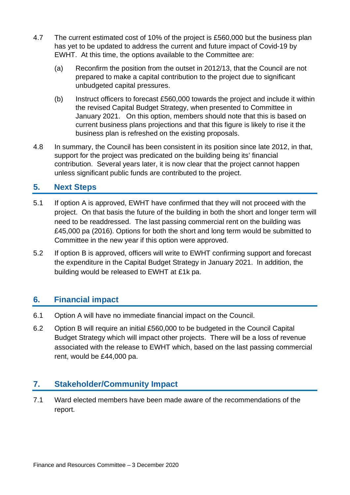- 4.7 The current estimated cost of 10% of the project is £560,000 but the business plan has yet to be updated to address the current and future impact of Covid-19 by EWHT. At this time, the options available to the Committee are:
	- (a) Reconfirm the position from the outset in 2012/13, that the Council are not prepared to make a capital contribution to the project due to significant unbudgeted capital pressures.
	- (b) Instruct officers to forecast £560,000 towards the project and include it within the revised Capital Budget Strategy, when presented to Committee in January 2021. On this option, members should note that this is based on current business plans projections and that this figure is likely to rise it the business plan is refreshed on the existing proposals.
- 4.8 In summary, the Council has been consistent in its position since late 2012, in that, support for the project was predicated on the building being its' financial contribution. Several years later, it is now clear that the project cannot happen unless significant public funds are contributed to the project.

#### **5. Next Steps**

- 5.1 If option A is approved, EWHT have confirmed that they will not proceed with the project. On that basis the future of the building in both the short and longer term will need to be readdressed. The last passing commercial rent on the building was £45,000 pa (2016). Options for both the short and long term would be submitted to Committee in the new year if this option were approved.
- 5.2 If option B is approved, officers will write to EWHT confirming support and forecast the expenditure in the Capital Budget Strategy in January 2021. In addition, the building would be released to EWHT at £1k pa.

### **6. Financial impact**

- 6.1 Option A will have no immediate financial impact on the Council.
- 6.2 Option B will require an initial £560,000 to be budgeted in the Council Capital Budget Strategy which will impact other projects. There will be a loss of revenue associated with the release to EWHT which, based on the last passing commercial rent, would be £44,000 pa.

### **7. Stakeholder/Community Impact**

7.1 Ward elected members have been made aware of the recommendations of the report.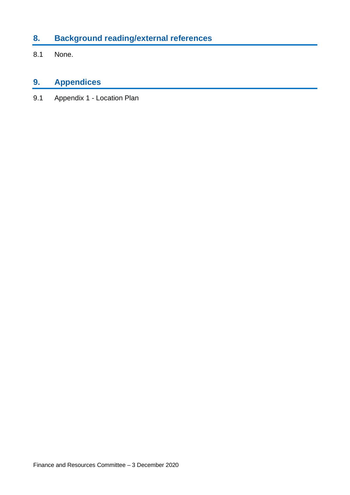### **8. Background reading/external references**

8.1 None.

### **9. Appendices**

9.1 Appendix 1 - Location Plan